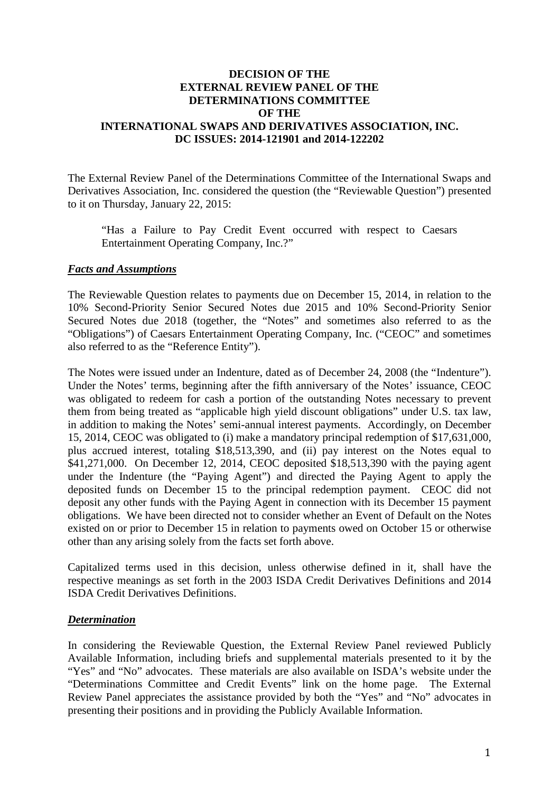## **DECISION OF THE EXTERNAL REVIEW PANEL OF THE DETERMINATIONS COMMITTEE OF THE INTERNATIONAL SWAPS AND DERIVATIVES ASSOCIATION, INC. DC ISSUES: 2014-121901 and 2014-122202**

The External Review Panel of the Determinations Committee of the International Swaps and Derivatives Association, Inc. considered the question (the "Reviewable Question") presented to it on Thursday, January 22, 2015:

"Has a Failure to Pay Credit Event occurred with respect to Caesars Entertainment Operating Company, Inc.?"

## *Facts and Assumptions*

The Reviewable Question relates to payments due on December 15, 2014, in relation to the 10% Second-Priority Senior Secured Notes due 2015 and 10% Second-Priority Senior Secured Notes due 2018 (together, the "Notes" and sometimes also referred to as the "Obligations") of Caesars Entertainment Operating Company, Inc. ("CEOC" and sometimes also referred to as the "Reference Entity").

The Notes were issued under an Indenture, dated as of December 24, 2008 (the "Indenture"). Under the Notes' terms, beginning after the fifth anniversary of the Notes' issuance, CEOC was obligated to redeem for cash a portion of the outstanding Notes necessary to prevent them from being treated as "applicable high yield discount obligations" under U.S. tax law, in addition to making the Notes' semi-annual interest payments. Accordingly, on December 15, 2014, CEOC was obligated to (i) make a mandatory principal redemption of \$17,631,000, plus accrued interest, totaling \$18,513,390, and (ii) pay interest on the Notes equal to \$41,271,000. On December 12, 2014, CEOC deposited \$18,513,390 with the paying agent under the Indenture (the "Paying Agent") and directed the Paying Agent to apply the deposited funds on December 15 to the principal redemption payment. CEOC did not deposit any other funds with the Paying Agent in connection with its December 15 payment obligations. We have been directed not to consider whether an Event of Default on the Notes existed on or prior to December 15 in relation to payments owed on October 15 or otherwise other than any arising solely from the facts set forth above.

Capitalized terms used in this decision, unless otherwise defined in it, shall have the respective meanings as set forth in the 2003 ISDA Credit Derivatives Definitions and 2014 ISDA Credit Derivatives Definitions.

## *Determination*

In considering the Reviewable Question, the External Review Panel reviewed Publicly Available Information, including briefs and supplemental materials presented to it by the "Yes" and "No" advocates. These materials are also available on ISDA's website under the "Determinations Committee and Credit Events" link on the home page. The External Review Panel appreciates the assistance provided by both the "Yes" and "No" advocates in presenting their positions and in providing the Publicly Available Information.